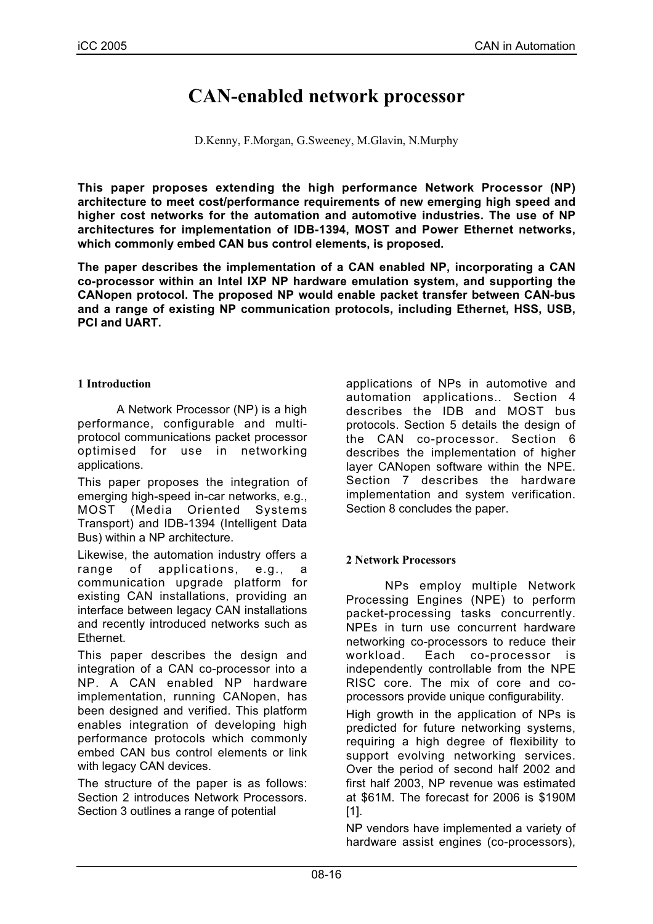# **CAN-enabled network processor**

D.Kenny, F.Morgan, G.Sweeney, M.Glavin, N.Murphy

**This paper proposes extending the high performance Network Processor (NP) architecture to meet cost/performance requirements of new emerging high speed and higher cost networks for the automation and automotive industries. The use of NP architectures for implementation of IDB-1394, MOST and Power Ethernet networks, which commonly embed CAN bus control elements, is proposed.**

**The paper describes the implementation of a CAN enabled NP, incorporating a CAN co-processor within an Intel IXP NP hardware emulation system, and supporting the CANopen protocol. The proposed NP would enable packet transfer between CAN-bus and a range of existing NP communication protocols, including Ethernet, HSS, USB, PCI and UART.**

## **1 Introduction**

A Network Processor (NP) is a high performance, configurable and multiprotocol communications packet processor optimised for use in networking applications.

This paper proposes the integration of emerging high-speed in-car networks, e.g., MOST (Media Oriented Systems Transport) and IDB-1394 (Intelligent Data Bus) within a NP architecture.

Likewise, the automation industry offers a range of applications, e.g., a communication upgrade platform for existing CAN installations, providing an interface between legacy CAN installations and recently introduced networks such as Ethernet.

This paper describes the design and integration of a CAN co-processor into a NP. A CAN enabled NP hardware implementation, running CANopen, has been designed and verified. This platform enables integration of developing high performance protocols which commonly embed CAN bus control elements or link with legacy CAN devices.

The structure of the paper is as follows: Section 2 introduces Network Processors. Section 3 outlines a range of potential

applications of NPs in automotive and automation applications.. Section 4 describes the IDB and MOST bus protocols. Section 5 details the design of the CAN co-processor. Section 6 describes the implementation of higher layer CANopen software within the NPE. Section 7 describes the hardware implementation and system verification. Section 8 concludes the paper.

# **2 Network Processors**

NPs employ multiple Network Processing Engines (NPE) to perform packet-processing tasks concurrently. NPEs in turn use concurrent hardware networking co-processors to reduce their workload. Each co-processor is independently controllable from the NPE RISC core. The mix of core and coprocessors provide unique configurability.

High growth in the application of NPs is predicted for future networking systems, requiring a high degree of flexibility to support evolving networking services. Over the period of second half 2002 and first half 2003, NP revenue was estimated at \$61M. The forecast for 2006 is \$190M [1].

NP vendors have implemented a variety of hardware assist engines (co-processors),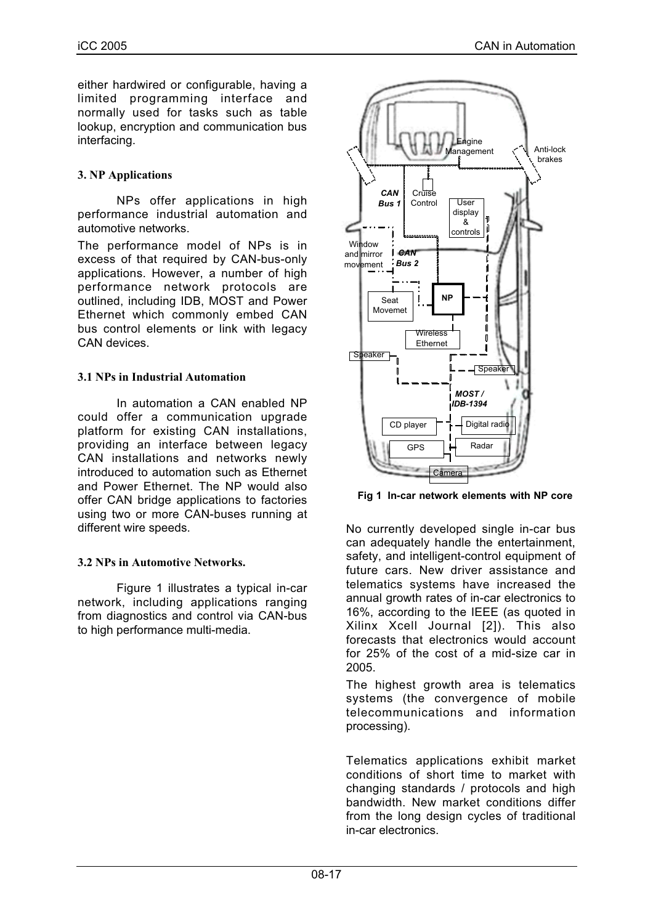either hardwired or configurable, having a limited programming interface and normally used for tasks such as table lookup, encryption and communication bus interfacing.

## **3. NP Applications**

NPs offer applications in high performance industrial automation and automotive networks.

The performance model of NPs is in excess of that required by CAN-bus-only applications. However, a number of high performance network protocols are outlined, including IDB, MOST and Power Ethernet which commonly embed CAN bus control elements or link with legacy CAN devices.

## **3.1 NPs in Industrial Automation**

In automation a CAN enabled NP could offer a communication upgrade platform for existing CAN installations, providing an interface between legacy CAN installations and networks newly introduced to automation such as Ethernet and Power Ethernet. The NP would also offer CAN bridge applications to factories using two or more CAN-buses running at different wire speeds.

#### **3.2 NPs in Automotive Networks.**

Figure 1 illustrates a typical in-car network, including applications ranging from diagnostics and control via CAN-bus to high performance multi-media.



**Fig 1 In-car network elements with NP core**

No currently developed single in-car bus can adequately handle the entertainment, safety, and intelligent-control equipment of future cars. New driver assistance and telematics systems have increased the annual growth rates of in-car electronics to 16%, according to the IEEE (as quoted in Xilinx Xcell Journal [2]). This also forecasts that electronics would account for 25% of the cost of a mid-size car in 2005.

The highest growth area is telematics systems (the convergence of mobile telecommunications and information processing).

Telematics applications exhibit market conditions of short time to market with changing standards / protocols and high bandwidth. New market conditions differ from the long design cycles of traditional in-car electronics.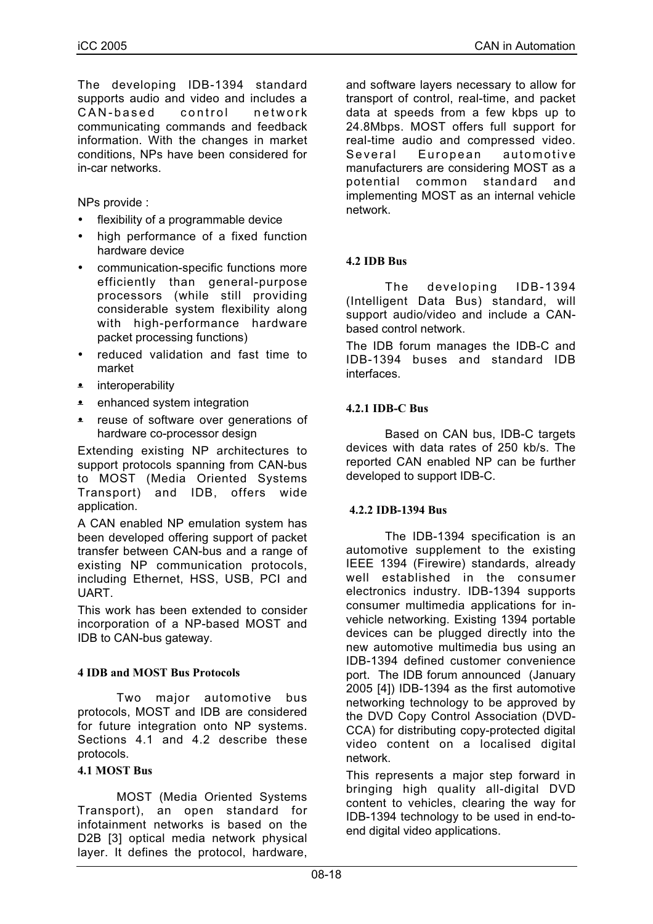The developing IDB-1394 standard supports audio and video and includes a CAN-based control network communicating commands and feedback information. With the changes in market conditions, NPs have been considered for in-car networks.

NPs provide :

- flexibility of a programmable device
- high performance of a fixed function hardware device
- communication-specific functions more efficiently than general-purpose processors (while still providing considerable system flexibility along with high-performance hardware packet processing functions)
- reduced validation and fast time to market
- **•** interoperability
- **•** enhanced system integration
- reuse of software over generations of hardware co-processor design

Extending existing NP architectures to support protocols spanning from CAN-bus to MOST (Media Oriented Systems Transport) and IDB, offers wide application.

A CAN enabled NP emulation system has been developed offering support of packet transfer between CAN-bus and a range of existing NP communication protocols, including Ethernet, HSS, USB, PCI and UART.

This work has been extended to consider incorporation of a NP-based MOST and IDB to CAN-bus gateway.

#### **4 IDB and MOST Bus Protocols**

Two major automotive bus protocols, MOST and IDB are considered for future integration onto NP systems. Sections 4.1 and 4.2 describe these protocols.

#### **4.1 MOST Bus**

MOST (Media Oriented Systems Transport), an open standard for infotainment networks is based on the D2B [3] optical media network physical layer. It defines the protocol, hardware,

and software layers necessary to allow for transport of control, real-time, and packet data at speeds from a few kbps up to 24.8Mbps. MOST offers full support for real-time audio and compressed video. Several European automotive manufacturers are considering MOST as a potential common standard and implementing MOST as an internal vehicle network.

# **4.2 IDB Bus**

The developing IDB-1394 (Intelligent Data Bus) standard, will support audio/video and include a CANbased control network.

The IDB forum manages the IDB-C and IDB-1394 buses and standard IDB interfaces.

## **4.2.1 IDB-C Bus**

Based on CAN bus, IDB-C targets devices with data rates of 250 kb/s. The reported CAN enabled NP can be further developed to support IDB-C.

#### **4.2.2 IDB-1394 Bus**

The IDB-1394 specification is an automotive supplement to the existing IEEE 1394 (Firewire) standards, already well established in the consumer electronics industry. IDB-1394 supports consumer multimedia applications for invehicle networking. Existing 1394 portable devices can be plugged directly into the new automotive multimedia bus using an IDB-1394 defined customer convenience port. The IDB forum announced (January 2005 [4]) IDB-1394 as the first automotive networking technology to be approved by the DVD Copy Control Association (DVD-CCA) for distributing copy-protected digital video content on a localised digital network.

This represents a major step forward in bringing high quality all-digital DVD content to vehicles, clearing the way for IDB-1394 technology to be used in end-toend digital video applications.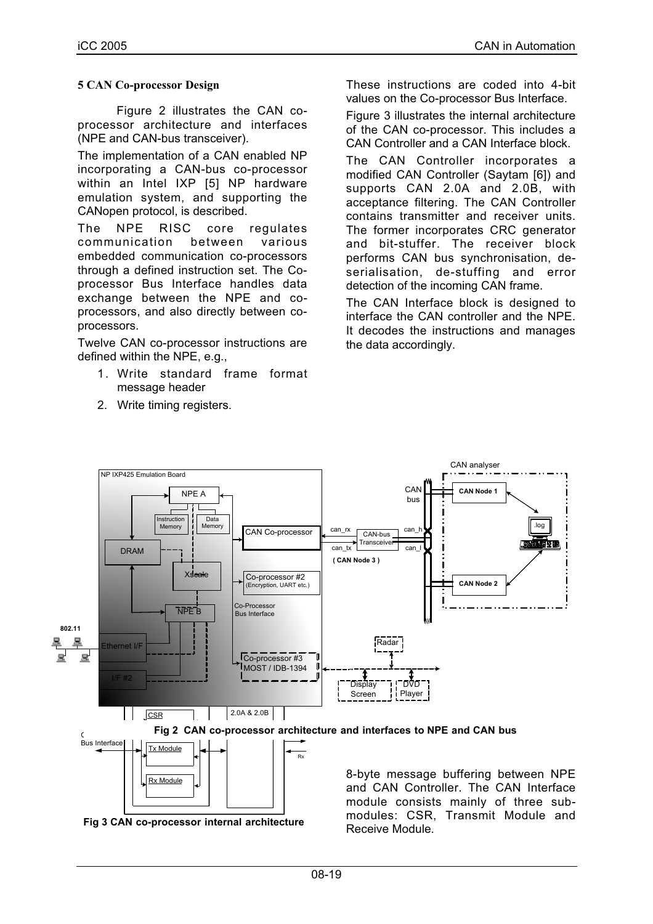## **5 CAN Co-processor Design**

Figure 2 illustrates the CAN coprocessor architecture and interfaces (NPE and CAN-bus transceiver).

The implementation of a CAN enabled NP incorporating a CAN-bus co-processor within an Intel IXP [5] NP hardware emulation system, and supporting the CANopen protocol, is described.

The NPE RISC core regulates communication between various embedded communication co-processors through a defined instruction set. The Coprocessor Bus Interface handles data exchange between the NPE and coprocessors, and also directly between coprocessors.

Twelve CAN co-processor instructions are defined within the NPE, e.g.,

- 1. Write standard frame format message header
- 2. Write timing registers.

These instructions are coded into 4-bit values on the Co-processor Bus Interface.

Figure 3 illustrates the internal architecture of the CAN co-processor. This includes a CAN Controller and a CAN Interface block.

The CAN Controller incorporates a modified CAN Controller (Saytam [6]) and supports CAN 2.0A and 2.0B, with acceptance filtering. The CAN Controller contains transmitter and receiver units. The former incorporates CRC generator and bit-stuffer. The receiver block performs CAN bus synchronisation, deserialisation, de-stuffing and error detection of the incoming CAN frame.

The CAN Interface block is designed to interface the CAN controller and the NPE. It decodes the instructions and manages the data accordingly.



 **Fig 3 CAN co-processor internal architecture**

and CAN Controller. The CAN Interface module consists mainly of three submodules: CSR, Transmit Module and Receive Module.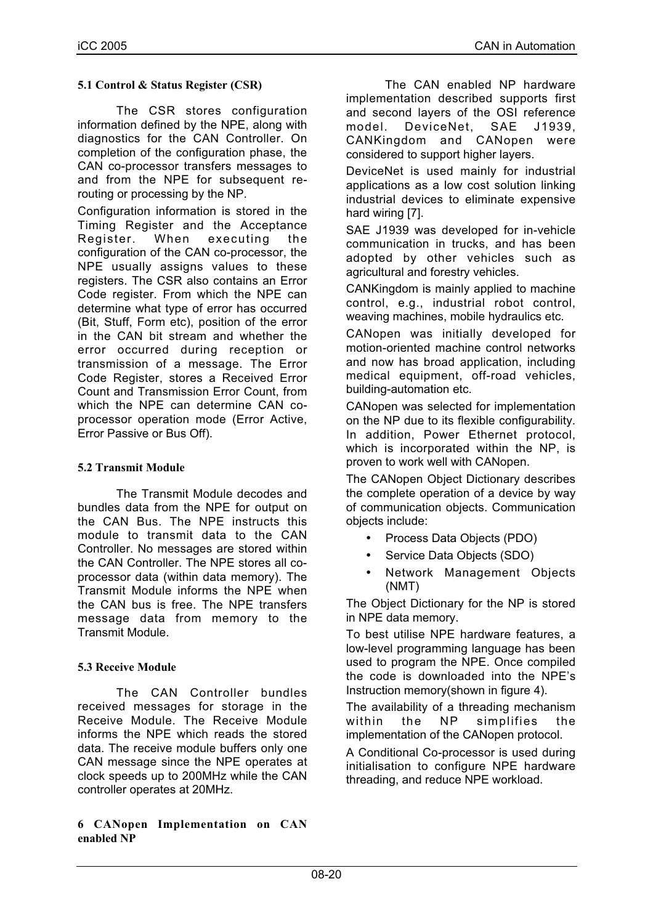## **5.1 Control & Status Register (CSR)**

The CSR stores configuration information defined by the NPE, along with diagnostics for the CAN Controller. On completion of the configuration phase, the CAN co-processor transfers messages to and from the NPE for subsequent rerouting or processing by the NP.

Configuration information is stored in the Timing Register and the Acceptance Register. When executing the configuration of the CAN co-processor, the NPE usually assigns values to these registers. The CSR also contains an Error Code register. From which the NPE can determine what type of error has occurred (Bit, Stuff, Form etc), position of the error in the CAN bit stream and whether the error occurred during reception or transmission of a message. The Error Code Register, stores a Received Error Count and Transmission Error Count, from which the NPE can determine CAN coprocessor operation mode (Error Active, Error Passive or Bus Off).

## **5.2 Transmit Module**

The Transmit Module decodes and bundles data from the NPE for output on the CAN Bus. The NPE instructs this module to transmit data to the CAN Controller. No messages are stored within the CAN Controller. The NPE stores all coprocessor data (within data memory). The Transmit Module informs the NPE when the CAN bus is free. The NPE transfers message data from memory to the Transmit Module.

#### **5.3 Receive Module**

The CAN Controller bundles received messages for storage in the Receive Module. The Receive Module informs the NPE which reads the stored data. The receive module buffers only one CAN message since the NPE operates at clock speeds up to 200MHz while the CAN controller operates at 20MHz.

#### **6 CANopen Implementation on CAN enabled NP**

The CAN enabled NP hardware implementation described supports first and second layers of the OSI reference model. DeviceNet, SAE J1939, CANKingdom and CANopen were considered to support higher layers.

DeviceNet is used mainly for industrial applications as a low cost solution linking industrial devices to eliminate expensive hard wiring [7].

SAE J1939 was developed for in-vehicle communication in trucks, and has been adopted by other vehicles such as agricultural and forestry vehicles.

CANKingdom is mainly applied to machine control, e.g., industrial robot control, weaving machines, mobile hydraulics etc.

CANopen was initially developed for motion-oriented machine control networks and now has broad application, including medical equipment, off-road vehicles, building-automation etc.

CANopen was selected for implementation on the NP due to its flexible configurability. In addition, Power Ethernet protocol, which is incorporated within the NP, is proven to work well with CANopen.

The CANopen Object Dictionary describes the complete operation of a device by way of communication objects. Communication objects include:

- Process Data Objects (PDO)
- Service Data Objects (SDO)
- Network Management Objects (NMT)

The Object Dictionary for the NP is stored in NPE data memory.

To best utilise NPE hardware features, a low-level programming language has been used to program the NPE. Once compiled the code is downloaded into the NPE's Instruction memory(shown in figure 4).

The availability of a threading mechanism within the NP simplifies the implementation of the CANopen protocol.

A Conditional Co-processor is used during initialisation to configure NPE hardware threading, and reduce NPE workload.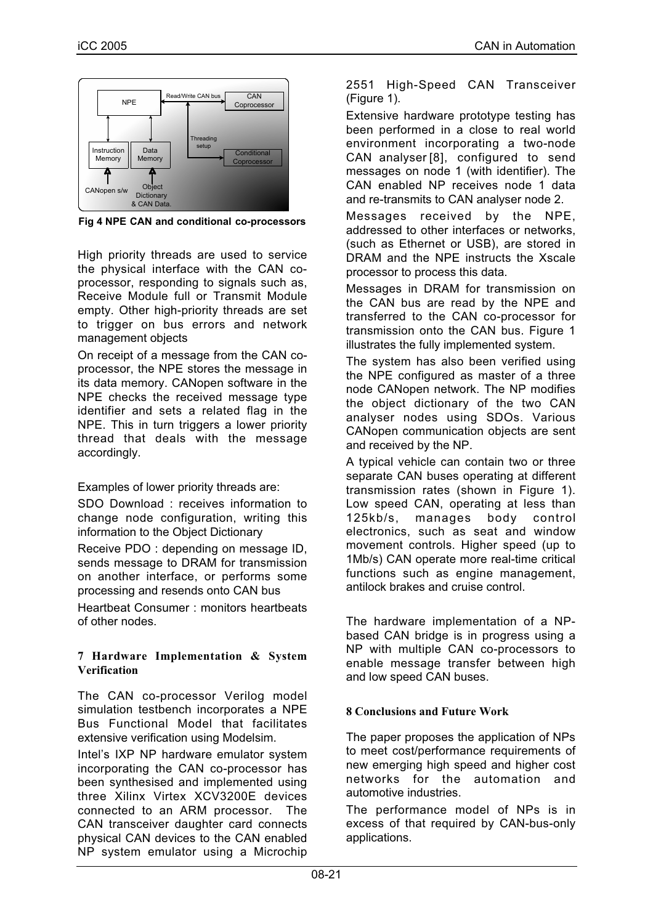

**Fig 4 NPE CAN and conditional co-processors**

High priority threads are used to service the physical interface with the CAN coprocessor, responding to signals such as, Receive Module full or Transmit Module empty. Other high-priority threads are set to trigger on bus errors and network management objects

On receipt of a message from the CAN coprocessor, the NPE stores the message in its data memory. CANopen software in the NPE checks the received message type identifier and sets a related flag in the NPE. This in turn triggers a lower priority thread that deals with the message accordingly.

Examples of lower priority threads are:

SDO Download : receives information to change node configuration, writing this information to the Object Dictionary

Receive PDO : depending on message ID, sends message to DRAM for transmission on another interface, or performs some processing and resends onto CAN bus

Heartbeat Consumer : monitors heartbeats of other nodes.

#### **7 Hardware Implementation & System Verification**

The CAN co-processor Verilog model simulation testbench incorporates a NPE Bus Functional Model that facilitates extensive verification using Modelsim.

Intel's IXP NP hardware emulator system incorporating the CAN co-processor has been synthesised and implemented using three Xilinx Virtex XCV3200E devices connected to an ARM processor. The CAN transceiver daughter card connects physical CAN devices to the CAN enabled NP system emulator using a Microchip 2551 High-Speed CAN Transceiver (Figure 1).

Extensive hardware prototype testing has been performed in a close to real world environment incorporating a two-node CAN analyser [8], configured to send messages on node 1 (with identifier). The CAN enabled NP receives node 1 data and re-transmits to CAN analyser node 2.

Messages received by the NPE, addressed to other interfaces or networks, (such as Ethernet or USB), are stored in DRAM and the NPE instructs the Xscale processor to process this data.

Messages in DRAM for transmission on the CAN bus are read by the NPE and transferred to the CAN co-processor for transmission onto the CAN bus. Figure 1 illustrates the fully implemented system.

The system has also been verified using the NPE configured as master of a three node CANopen network. The NP modifies the object dictionary of the two CAN analyser nodes using SDOs. Various CANopen communication objects are sent and received by the NP.

A typical vehicle can contain two or three separate CAN buses operating at different transmission rates (shown in Figure 1). Low speed CAN, operating at less than 125kb/s, manages body control electronics, such as seat and window movement controls. Higher speed (up to 1Mb/s) CAN operate more real-time critical functions such as engine management, antilock brakes and cruise control.

The hardware implementation of a NPbased CAN bridge is in progress using a NP with multiple CAN co-processors to enable message transfer between high and low speed CAN buses.

# **8 Conclusions and Future Work**

The paper proposes the application of NPs to meet cost/performance requirements of new emerging high speed and higher cost networks for the automation and automotive industries.

The performance model of NPs is in excess of that required by CAN-bus-only applications.